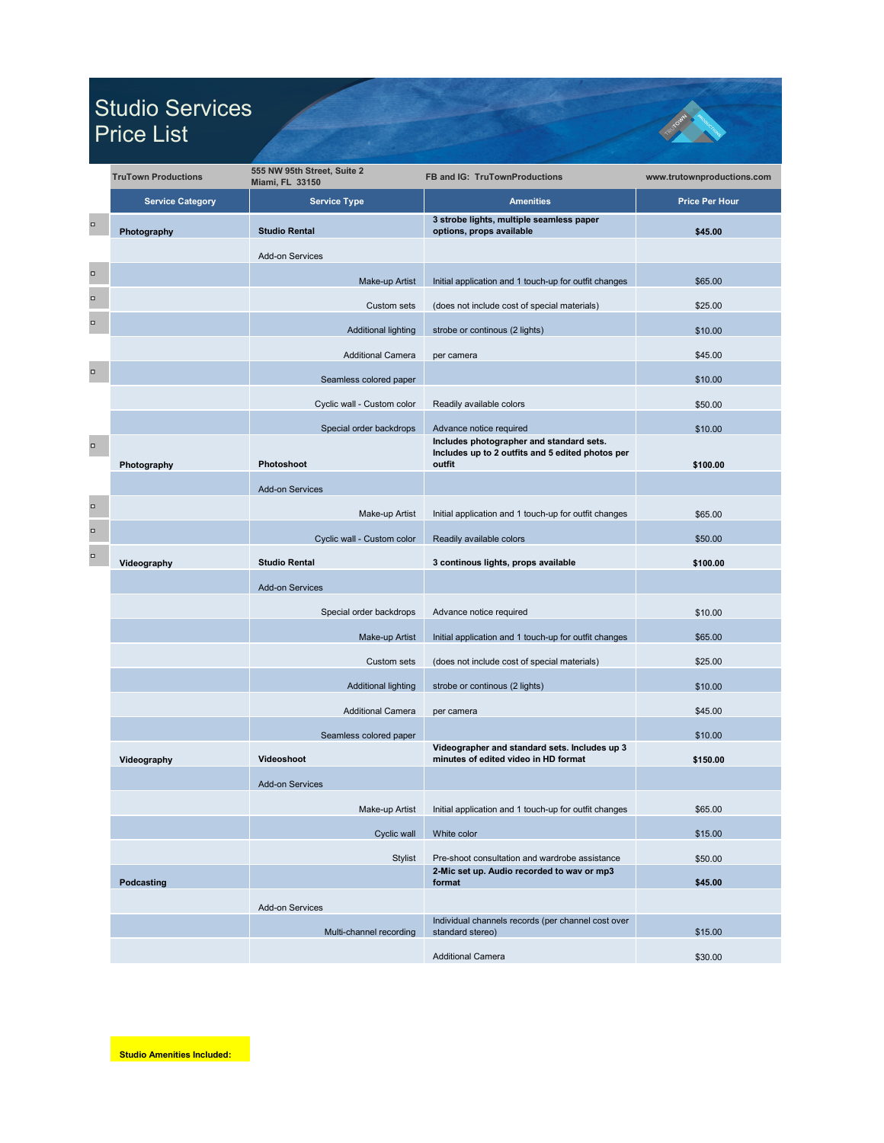|        | <b>TruTown Productions</b> | 555 NW 95th Street, Suite 2<br><b>Miami, FL 33150</b> | <b>FB and IG: TruTownProductions</b>                                                                   | www.trutownproductions.com |
|--------|----------------------------|-------------------------------------------------------|--------------------------------------------------------------------------------------------------------|----------------------------|
|        | <b>Service Category</b>    | <b>Service Type</b>                                   | <b>Amenities</b>                                                                                       | <b>Price Per Hour</b>      |
| $\Box$ | Photography                | <b>Studio Rental</b>                                  | 3 strobe lights, multiple seamless paper<br>options, props available                                   | \$45.00                    |
|        |                            | <b>Add-on Services</b>                                |                                                                                                        |                            |
| $\Box$ |                            | Make-up Artist                                        | Initial application and 1 touch-up for outfit changes                                                  | \$65.00                    |
| $\Box$ |                            | <b>Custom sets</b>                                    | (does not include cost of special materials)                                                           | \$25.00                    |
| $\Box$ |                            | <b>Additional lighting</b>                            | strobe or continous (2 lights)                                                                         | \$10.00                    |
|        |                            | <b>Additional Camera</b>                              | per camera                                                                                             | \$45.00                    |
| $\Box$ |                            | Seamless colored paper                                |                                                                                                        | \$10.00                    |
|        |                            | Cyclic wall - Custom color                            | Readily available colors                                                                               | \$50.00                    |
|        |                            | Special order backdrops                               | Advance notice required                                                                                | \$10.00                    |
| $\Box$ | Photography                | Photoshoot                                            | Includes photographer and standard sets.<br>Includes up to 2 outfits and 5 edited photos per<br>outfit | \$100.00                   |
|        |                            | <b>Add-on Services</b>                                |                                                                                                        |                            |
| $\Box$ |                            | Make-up Artist                                        | Initial application and 1 touch-up for outfit changes                                                  | \$65.00                    |
| o      |                            | Cyclic wall - Custom color                            | Readily available colors                                                                               | \$50.00                    |
| $\Box$ | Videography                | <b>Studio Rental</b>                                  | 3 continous lights, props available                                                                    | \$100.00                   |
|        |                            | <b>Add-on Services</b>                                |                                                                                                        |                            |
|        |                            | Special order backdrops                               | Advance notice required                                                                                | \$10.00                    |
|        |                            | Make-up Artist                                        | Initial application and 1 touch-up for outfit changes                                                  | \$65.00                    |
|        |                            | Custom sets                                           | (does not include cost of special materials)                                                           | \$25.00                    |
|        |                            | <b>Additional lighting</b>                            | strobe or continous (2 lights)                                                                         | \$10.00                    |
|        |                            | <b>Additional Camera</b>                              | per camera                                                                                             | \$45.00                    |
|        |                            | Seamless colored paper                                |                                                                                                        | \$10.00                    |
|        | Videography                | <b>Videoshoot</b>                                     | Videographer and standard sets. Includes up 3<br>minutes of edited video in HD format                  | \$150.00                   |
|        |                            | <b>Add-on Services</b>                                |                                                                                                        |                            |
|        |                            | Make-up Artist                                        | Initial application and 1 touch-up for outfit changes                                                  | \$65.00                    |
|        |                            | Cyclic wall                                           | White color                                                                                            | \$15.00                    |
|        |                            | <b>Stylist</b>                                        | Pre-shoot consultation and wardrobe assistance<br>2-Mic set up. Audio recorded to wav or mp3           | \$50.00                    |
|        | <b>Podcasting</b>          |                                                       | format                                                                                                 | \$45.00                    |
|        |                            | <b>Add-on Services</b>                                | Individual channels records (per channel cost over                                                     |                            |
|        |                            | Multi-channel recording                               | standard stereo)                                                                                       | \$15.00                    |
|        |                            |                                                       | <b>Additional Camera</b>                                                                               | \$30.00                    |

**Studio Amenities Included:**

## Studio Services Price List